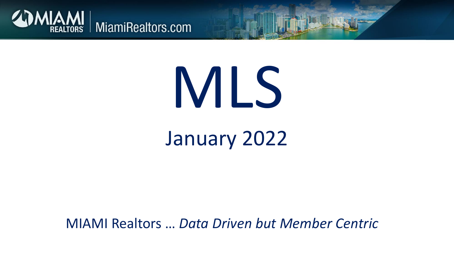

# MLS

## January 2022

MIAMI Realtors … *Data Driven but Member Centric*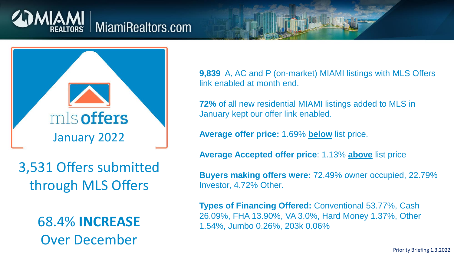



3,531 Offers submitted through MLS Offers

> 68.4% **INCREASE** Over December

**9,839** A, AC and P (on-market) MIAMI listings with MLS Offers link enabled at month end.

**72%** of all new residential MIAMI listings added to MLS in January kept our offer link enabled.

**Average offer price:** 1.69% **below** list price.

**Average Accepted offer price**: 1.13% **above** list price

**Buyers making offers were:** 72.49% owner occupied, 22.79% Investor, 4.72% Other.

**Types of Financing Offered:** Conventional 53.77%, Cash 26.09%, FHA 13.90%, VA 3.0%, Hard Money 1.37%, Other 1.54%, Jumbo 0.26%, 203k 0.06%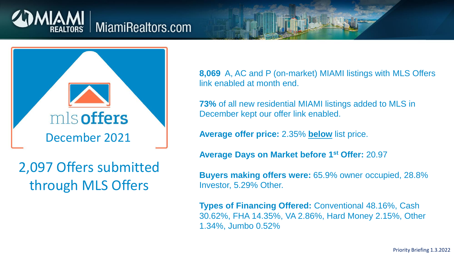



2,097 Offers submitted through MLS Offers

**8,069** A, AC and P (on-market) MIAMI listings with MLS Offers link enabled at month end.

**73%** of all new residential MIAMI listings added to MLS in December kept our offer link enabled.

**Average offer price:** 2.35% **below** list price.

**Average Days on Market before 1st Offer:** 20.97

**Buyers making offers were:** 65.9% owner occupied, 28.8% Investor, 5.29% Other.

**Types of Financing Offered:** Conventional 48.16%, Cash 30.62%, FHA 14.35%, VA 2.86%, Hard Money 2.15%, Other 1.34%, Jumbo 0.52%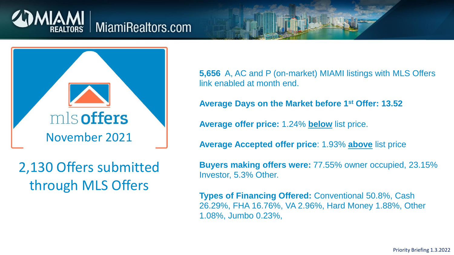



2,130 Offers submitted through MLS Offers

**5,656** A, AC and P (on-market) MIAMI listings with MLS Offers link enabled at month end.

**Average Days on the Market before 1st Offer: 13.52**

**Average offer price:** 1.24% **below** list price.

**Average Accepted offer price**: 1.93% **above** list price

**Buyers making offers were:** 77.55% owner occupied, 23.15% Investor, 5.3% Other.

**Types of Financing Offered:** Conventional 50.8%, Cash 26.29%, FHA 16.76%, VA 2.96%, Hard Money 1.88%, Other 1.08%, Jumbo 0.23%,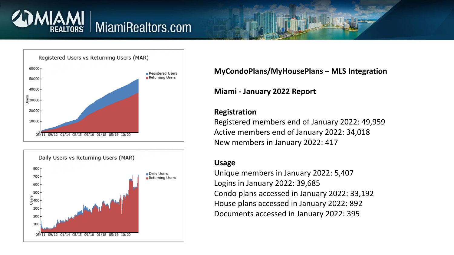





#### **MyCondoPlans/MyHousePlans – MLS Integration**

**Miami - January 2022 Report** 

#### **Registration**

Registered members end of January 2022: 49,959 Active members end of January 2022: 34,018 New members in January 2022: 417

#### **Usage**

Unique members in January 2022: 5,407 Logins in January 2022: 39,685 Condo plans accessed in January 2022: 33,192 House plans accessed in January 2022: 892 Documents accessed in January 2022: 395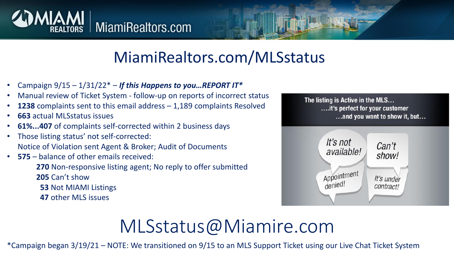

### MiamiRealtors.com/MLSstatus

- Campaign 9/15 1/31/22\* *If this Happens to you…REPORT IT\**
- Manual review of Ticket System follow-up on reports of incorrect status
- **1238** complaints sent to this email address 1,189 complaints Resolved
- **663** actual MLSstatus issues
- **61%...407** of complaints self-corrected within 2 business days
- Those listing status' not self-corrected: Notice of Violation sent Agent & Broker; Audit of Documents
- **575** balance of other emails received:

**270** Non-responsive listing agent; No reply to offer submitted **205** Can't show

**53** Not MIAMI Listings

**47** other MLS issues

The listing is Active in the MLS... ...it's perfect for your customer ...and you want to show it, but...



## MLSstatus@Miamire.com

\*Campaign began 3/19/21 – NOTE: We transitioned on 9/15 to an MLS Support Ticket using our Live Chat Ticket System